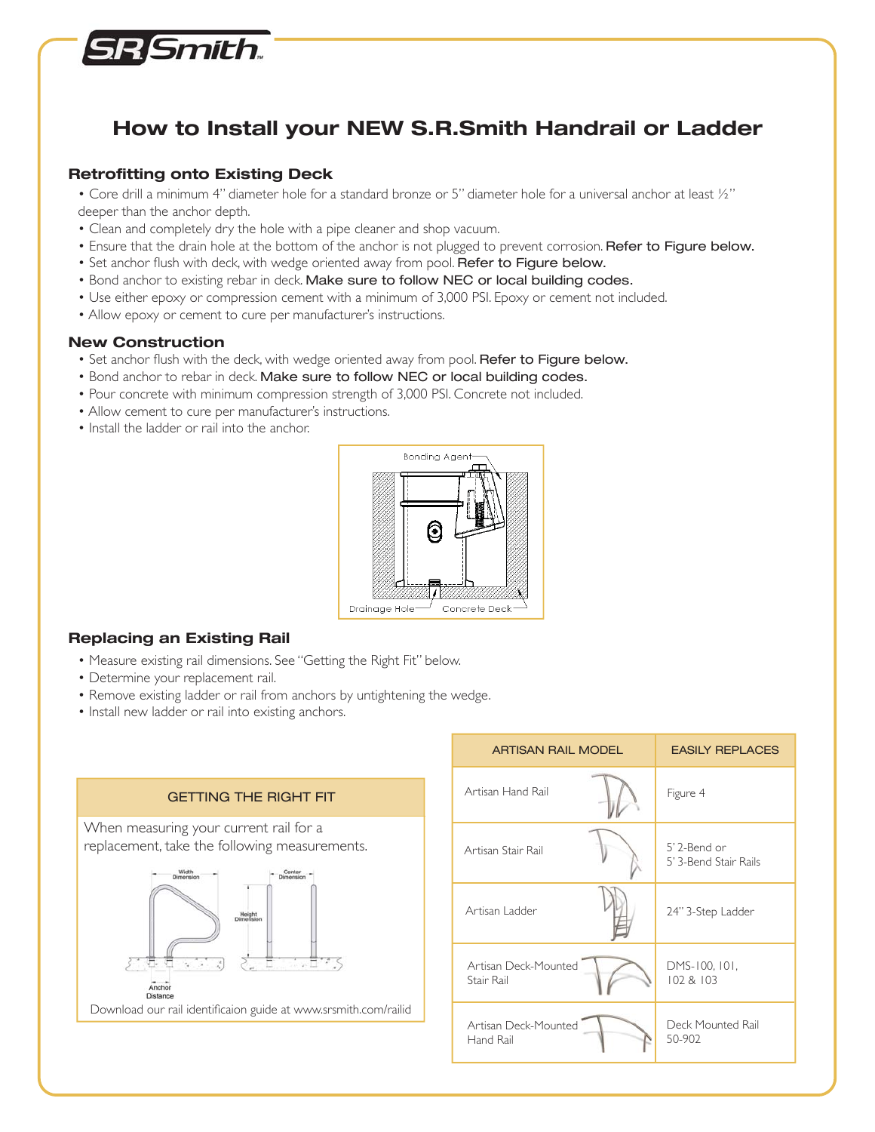

# How to Install your NEW S.R.Smith Handrail or Ladder

#### Retrofitting onto Existing Deck

• Core drill a minimum 4" diameter hole for a standard bronze or 5" diameter hole for a universal anchor at least ½" deeper than the anchor depth.

- Clean and completely dry the hole with a pipe cleaner and shop vacuum.
- Ensure that the drain hole at the bottom of the anchor is not plugged to prevent corrosion. Refer to Figure below.
- Set anchor flush with deck, with wedge oriented away from pool. Refer to Figure below.
- Bond anchor to existing rebar in deck. Make sure to follow NEC or local building codes.
- Use either epoxy or compression cement with a minimum of 3,000 PSI. Epoxy or cement not included.
- Allow epoxy or cement to cure per manufacturer's instructions.

#### New Construction

- Set anchor flush with the deck, with wedge oriented away from pool. Refer to Figure below.
- Bond anchor to rebar in deck. Make sure to follow NEC or local building codes.
- Pour concrete with minimum compression strength of 3,000 PSI. Concrete not included.
- Allow cement to cure per manufacturer's instructions.
- Install the ladder or rail into the anchor.



#### Replacing an Existing Rail

- Measure existing rail dimensions. See "Getting the Right Fit" below.
- Determine your replacement rail.
- Remove existing ladder or rail from anchors by untightening the wedge.
- Install new ladder or rail into existing anchors.



| <b>ARTISAN RAIL MODEL</b>          | <b>EASILY REPLACES</b>                |
|------------------------------------|---------------------------------------|
| Artisan Hand Rail                  | Figure 4                              |
| Artisan Stair Rail                 | 5' 2-Bend or<br>5' 3-Bend Stair Rails |
| Artisan Ladder                     | 24" 3-Step Ladder                     |
| Artisan Deck-Mounted<br>Stair Rail | DMS-100, 101,<br>102 & 103            |
| Artisan Deck-Mounted<br>Hand Rail  | Deck Mounted Rail<br>50-902           |